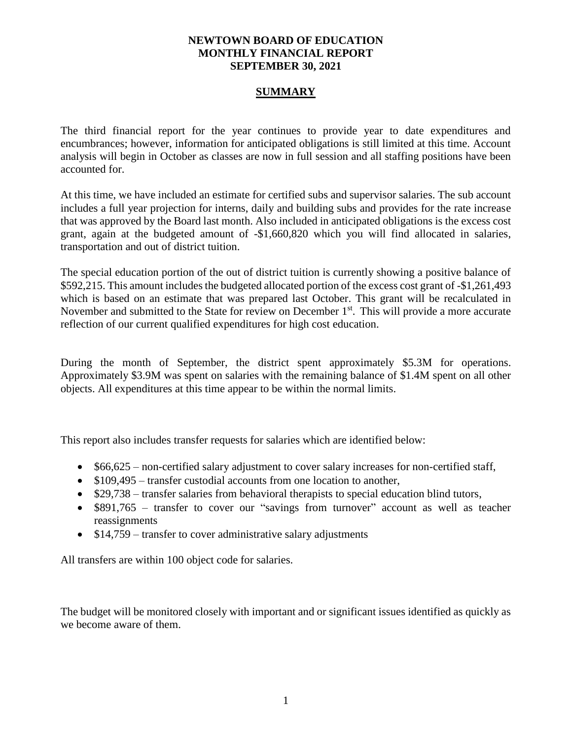### **NEWTOWN BOARD OF EDUCATION MONTHLY FINANCIAL REPORT SEPTEMBER 30, 2021**

## **SUMMARY**

The third financial report for the year continues to provide year to date expenditures and encumbrances; however, information for anticipated obligations is still limited at this time. Account analysis will begin in October as classes are now in full session and all staffing positions have been accounted for.

At this time, we have included an estimate for certified subs and supervisor salaries. The sub account includes a full year projection for interns, daily and building subs and provides for the rate increase that was approved by the Board last month. Also included in anticipated obligations is the excess cost grant, again at the budgeted amount of -\$1,660,820 which you will find allocated in salaries, transportation and out of district tuition.

The special education portion of the out of district tuition is currently showing a positive balance of \$592,215. This amount includes the budgeted allocated portion of the excess cost grant of -\$1,261,493 which is based on an estimate that was prepared last October. This grant will be recalculated in November and submitted to the State for review on December 1<sup>st</sup>. This will provide a more accurate reflection of our current qualified expenditures for high cost education.

During the month of September, the district spent approximately \$5.3M for operations. Approximately \$3.9M was spent on salaries with the remaining balance of \$1.4M spent on all other objects. All expenditures at this time appear to be within the normal limits.

This report also includes transfer requests for salaries which are identified below:

- \$66,625 non-certified salary adjustment to cover salary increases for non-certified staff,
- \$109,495 transfer custodial accounts from one location to another,
- \$29,738 transfer salaries from behavioral therapists to special education blind tutors,
- \$891,765 transfer to cover our "savings from turnover" account as well as teacher reassignments
- \$14,759 transfer to cover administrative salary adjustments

All transfers are within 100 object code for salaries.

The budget will be monitored closely with important and or significant issues identified as quickly as we become aware of them.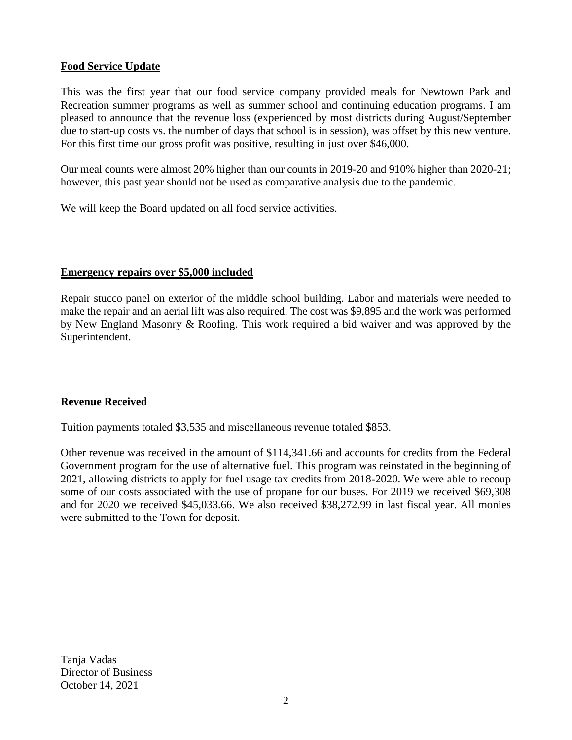# **Food Service Update**

This was the first year that our food service company provided meals for Newtown Park and Recreation summer programs as well as summer school and continuing education programs. I am pleased to announce that the revenue loss (experienced by most districts during August/September due to start-up costs vs. the number of days that school is in session), was offset by this new venture. For this first time our gross profit was positive, resulting in just over \$46,000.

Our meal counts were almost 20% higher than our counts in 2019-20 and 910% higher than 2020-21; however, this past year should not be used as comparative analysis due to the pandemic.

We will keep the Board updated on all food service activities.

## **Emergency repairs over \$5,000 included**

Repair stucco panel on exterior of the middle school building. Labor and materials were needed to make the repair and an aerial lift was also required. The cost was \$9,895 and the work was performed by New England Masonry & Roofing. This work required a bid waiver and was approved by the Superintendent.

# **Revenue Received**

Tuition payments totaled \$3,535 and miscellaneous revenue totaled \$853.

Other revenue was received in the amount of \$114,341.66 and accounts for credits from the Federal Government program for the use of alternative fuel. This program was reinstated in the beginning of 2021, allowing districts to apply for fuel usage tax credits from 2018-2020. We were able to recoup some of our costs associated with the use of propane for our buses. For 2019 we received \$69,308 and for 2020 we received \$45,033.66. We also received \$38,272.99 in last fiscal year. All monies were submitted to the Town for deposit.

Tanja Vadas Director of Business October 14, 2021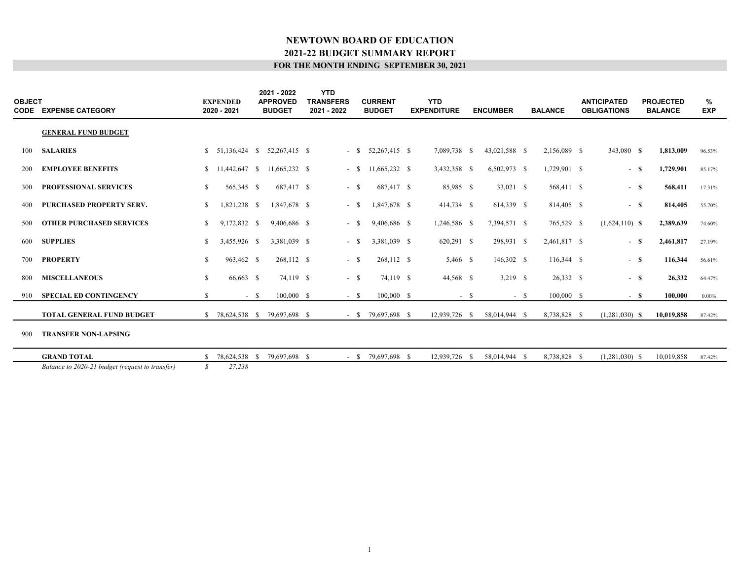| <b>OBJECT</b> | <b>CODE EXPENSE CATEGORY</b>                    |              | <b>EXPENDED</b><br>2020 - 2021 | 2021 - 2022<br><b>APPROVED</b><br><b>BUDGET</b> | <b>YTD</b><br><b>TRANSFERS</b><br>2021 - 2022 | <b>CURRENT</b><br><b>BUDGET</b> | <b>YTD</b><br><b>EXPENDITURE</b> |        | <b>ENCUMBER</b> |        | <b>BALANCE</b> | <b>ANTICIPATED</b><br><b>OBLIGATIONS</b> |       | <b>PROJECTED</b><br><b>BALANCE</b> | %<br><b>EXP</b> |  |
|---------------|-------------------------------------------------|--------------|--------------------------------|-------------------------------------------------|-----------------------------------------------|---------------------------------|----------------------------------|--------|-----------------|--------|----------------|------------------------------------------|-------|------------------------------------|-----------------|--|
|               | <b>GENERAL FUND BUDGET</b>                      |              |                                |                                                 |                                               |                                 |                                  |        |                 |        |                |                                          |       |                                    |                 |  |
| 100           | <b>SALARIES</b>                                 |              |                                | $$51,136,424$ $$52,267,415$ $$$                 |                                               | $-$ \$ 52,267,415 \$            | 7,089,738 \$                     |        | 43,021,588 \$   |        | 2,156,089 \$   | 343,080 <b>\$</b>                        |       | 1,813,009                          | 96.53%          |  |
| 200           | <b>EMPLOYEE BENEFITS</b>                        |              |                                | 11,665,232 \$                                   | $-$ \$                                        | 11,665,232 \$                   | 3,432,358 \$                     |        | $6,502,973$ \$  |        | 1,729,901 \$   | $-$ \$                                   |       | 1,729,901                          | 85.17%          |  |
| 300           | <b>PROFESSIONAL SERVICES</b>                    | \$           | 565,345 \$                     | 687,417 \$                                      | $-$ \$                                        | 687,417 \$                      | 85,985 \$                        |        | 33,021 \$       |        | 568,411 \$     | $-$ \$                                   |       | 568,411                            | 17.31%          |  |
| 400           | PURCHASED PROPERTY SERV.                        | \$           | 1,821,238 \$                   | 1,847,678 \$                                    | $-$ \$                                        | 1,847,678 \$                    | 414,734 \$                       |        | 614,339 \$      |        | 814,405 \$     | $-$ \$                                   |       | 814,405                            | 55.70%          |  |
| 500           | <b>OTHER PURCHASED SERVICES</b>                 | S.           | 9,172,832 \$                   | 9,406,686 \$                                    | - \$                                          | 9,406,686 \$                    | 1,246,586 \$                     |        | 7,394,571 \$    |        | 765,529 \$     | $(1,624,110)$ <b>S</b>                   |       | 2,389,639                          | 74.60%          |  |
| 600           | <b>SUPPLIES</b>                                 | S.           | 3,455,926 \$                   | 3,381,039 \$                                    | - \$                                          | 3,381,039 \$                    | 620,291 \$                       |        | 298,931 \$      |        | 2,461,817 \$   | $-$ \$                                   |       | 2,461,817                          | 27.19%          |  |
| 700           | <b>PROPERTY</b>                                 | \$           | 963,462 \$                     | 268,112 \$                                      | $-$ \$                                        | 268,112 \$                      | 5,466 \$                         |        | 146,302 \$      |        | $116,344$ \$   | $-$ S                                    |       | 116,344                            | 56.61%          |  |
| 800           | <b>MISCELLANEOUS</b>                            | $\mathbb{S}$ | 66,663 \$                      | 74,119 \$                                       | $-$ \$                                        | 74,119 \$                       | 44,568 \$                        |        | $3,219$ \$      |        | 26,332 \$      | $-$ S                                    |       | 26,332                             | 64.47%          |  |
| 910           | <b>SPECIAL ED CONTINGENCY</b>                   | S.           | $- S$                          | $100,000$ \$                                    | $-$ S                                         | $100,000$ \$                    |                                  | $-$ \$ |                 | $-$ \$ | $100,000$ \$   |                                          | $-$ S | 100.000                            | $0.00\%$        |  |
|               | <b>TOTAL GENERAL FUND BUDGET</b>                | S.           | 78,624,538 \$                  | 79,697,698 \$                                   |                                               | $-$ \$ 79,697,698 \$            | 12,939,726 \$                    |        | 58,014,944 \$   |        | 8,738,828 \$   | $(1,281,030)$ \$                         |       | 10,019,858                         | 87.42%          |  |
| 900           | <b>TRANSFER NON-LAPSING</b>                     |              |                                |                                                 |                                               |                                 |                                  |        |                 |        |                |                                          |       |                                    |                 |  |
|               | <b>GRAND TOTAL</b>                              | S.           | 78,624,538 \$                  | 79,697,698 \$                                   | $-$ S                                         | 79,697,698 \$                   | 12,939,726 \$                    |        | 58,014,944 \$   |        | 8,738,828 \$   | $(1,281,030)$ \$                         |       | 10,019,858                         | 87.42%          |  |
|               | Balance to 2020-21 budget (request to transfer) | S            | 27,238                         |                                                 |                                               |                                 |                                  |        |                 |        |                |                                          |       |                                    |                 |  |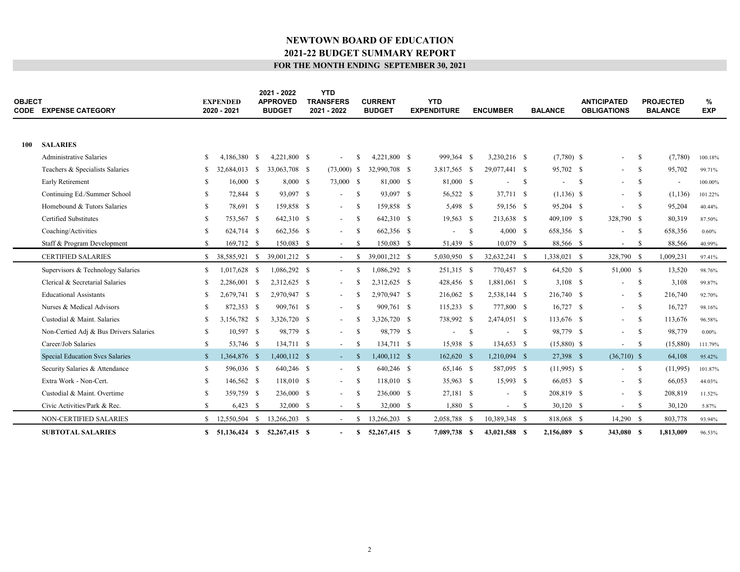| <b>OBJECT</b> | <b>CODE EXPENSE CATEGORY</b>           |              | <b>EXPENDED</b><br>2020 - 2021 |      | 2021 - 2022<br><b>APPROVED</b><br><b>BUDGET</b> | <b>YTD</b><br><b>TRANSFERS</b><br>2021 - 2022 |          | <b>CURRENT</b><br><b>BUDGET</b> | <b>YTD</b><br><b>EXPENDITURE</b> |               | <b>ENCUMBER</b>          |              | <b>BALANCE</b>           |    | <b>ANTICIPATED</b><br><b>OBLIGATIONS</b> |               | <b>PROJECTED</b><br><b>BALANCE</b> | %<br><b>EXP</b> |
|---------------|----------------------------------------|--------------|--------------------------------|------|-------------------------------------------------|-----------------------------------------------|----------|---------------------------------|----------------------------------|---------------|--------------------------|--------------|--------------------------|----|------------------------------------------|---------------|------------------------------------|-----------------|
|               |                                        |              |                                |      |                                                 |                                               |          |                                 |                                  |               |                          |              |                          |    |                                          |               |                                    |                 |
| 100           | <b>SALARIES</b>                        |              |                                |      |                                                 |                                               |          |                                 |                                  |               |                          |              |                          |    |                                          |               |                                    |                 |
|               | <b>Administrative Salaries</b>         | \$           | 4,186,380                      | - \$ | 4.221.800 \$                                    |                                               | -S       | 4.221.800 \$                    | 999.364 \$                       |               | 3.230.216 \$             |              | $(7,780)$ \$             |    | $\overline{\phantom{a}}$                 | -S            | (7,780)                            | 100.18%         |
|               | Teachers & Specialists Salaries        | S.           | 32,684,013 \$                  |      | 33,063,708 \$                                   | $(73,000)$ \$                                 |          | 32,990,708 \$                   | 3,817,565 \$                     |               | 29,077,441 \$            |              | 95,702 \$                |    | $\sim$                                   | -S            | 95,702                             | 99.71%          |
|               | Early Retirement                       | S            | 16,000 S                       |      | 8,000S                                          | 73,000 \$                                     |          | 81,000 \$                       | 81,000 \$                        |               |                          | - S          | $\overline{\phantom{a}}$ | -S | $\sim$                                   | -S            | $\overline{\phantom{a}}$           | 100.00%         |
|               | Continuing Ed./Summer School           | S.           | 72,844 \$                      |      | 93,097 \$                                       | $\overline{\phantom{a}}$                      | -S       | 93,097 \$                       | 56,522 \$                        |               | 37,711 \$                |              | $(1,136)$ \$             |    | $\overline{a}$                           | -S            | (1, 136)                           | 101.22%         |
|               | Homebound & Tutors Salaries            | S.           | 78,691 \$                      |      | 159,858 \$                                      | $\overline{\phantom{a}}$                      | - \$     | 159,858 \$                      | 5,498 \$                         |               | 59,156 \$                |              | 95,204 \$                |    | $\overline{\phantom{a}}$                 | $\mathbf{s}$  | 95,204                             | 40.44%          |
|               | <b>Certified Substitutes</b>           | \$           | 753,567 \$                     |      | 642,310 \$                                      | $\overline{\phantom{a}}$                      | -S       | 642,310 \$                      | $19,563$ \$                      |               | 213,638 \$               |              | 409,109 \$               |    | 328,790 \$                               |               | 80,319                             | 87.50%          |
|               | Coaching/Activities                    | \$           | 624,714 \$                     |      | 662,356 \$                                      | $\overline{\phantom{0}}$                      | -S       | 662,356 \$                      |                                  | <sup>\$</sup> | 4,000 S                  |              | 658,356 \$               |    | $\overline{\phantom{a}}$                 | -S            | 658,356                            | 0.60%           |
|               | Staff & Program Development            | S.           | 169,712 \$                     |      | 150,083 \$                                      | $\overline{\phantom{a}}$                      | -S       | 150,083 \$                      | 51,439 \$                        |               | $10,079$ \$              |              | 88,566 \$                |    | $\sim$                                   | $\mathcal{S}$ | 88,566                             | 40.99%          |
|               | <b>CERTIFIED SALARIES</b>              | \$           | 38,585,921 \$                  |      | 39,001,212 \$                                   | $\sim$                                        | -S       | 39,001,212 \$                   | 5,030,950                        | -S            | 32,632,241 \$            |              | 1,338,021 \$             |    | 328,790 \$                               |               | 1,009,231                          | 97.41%          |
|               | Supervisors & Technology Salaries      | \$           | 1,017,628 \$                   |      | 1,086,292 \$                                    | $\overline{\phantom{a}}$                      | -S       | 1,086,292 \$                    | 251,315 \$                       |               | 770,457 \$               |              | 64,520 \$                |    | 51,000 \$                                |               | 13,520                             | 98.76%          |
|               | Clerical & Secretarial Salaries        | S            | 2,286,001 \$                   |      | 2,312,625 \$                                    |                                               |          | 2,312,625 \$                    | 428,456 \$                       |               | 1,881,061 \$             |              | $3,108$ \$               |    | $\overline{\phantom{a}}$                 | -S            | 3,108                              | 99.87%          |
|               | <b>Educational Assistants</b>          | S            | 2,679,741 \$                   |      | 2,970,947 \$                                    | $\overline{\phantom{0}}$                      | -8       | 2,970,947 \$                    | 216,062 \$                       |               | 2,538,144 \$             |              | 216,740 \$               |    | $\sim$                                   | -S            | 216,740                            | 92.70%          |
|               | Nurses & Medical Advisors              | S.           | 872,353 \$                     |      | 909,761 \$                                      | $\overline{a}$                                | -8       | 909.761 \$                      | $115,233$ \$                     |               | 777,800 \$               |              | $16,727$ \$              |    | $\sim$                                   | -S            | 16,727                             | 98.16%          |
|               | Custodial & Maint, Salaries            | S.           | 3,156,782 \$                   |      | 3,326,720 \$                                    |                                               |          | 3,326,720 \$                    | 738,992 \$                       |               | 2,474,051 \$             |              | 113,676 \$               |    | $\sim$                                   | -S            | 113,676                            | 96.58%          |
|               | Non-Certied Adj & Bus Drivers Salaries | \$           | 10,597 \$                      |      | 98,779 \$                                       | $\overline{\phantom{a}}$                      | -S       | 98,779 \$                       |                                  | <sup>\$</sup> |                          | $\mathbf{s}$ | 98,779 \$                |    | $\sim$                                   | - \$          | 98,779                             | $0.00\%$        |
|               | Career/Job Salaries                    | \$           | 53,746 \$                      |      | 134,711 \$                                      | $\overline{\phantom{a}}$                      | -S       | 134,711 \$                      | 15,938 \$                        |               | 134,653 \$               |              | $(15,880)$ \$            |    | $\overline{\phantom{a}}$                 | -S            | (15,880)                           | 111.79%         |
|               | Special Education Svcs Salaries        | $\mathbb{S}$ | 1,364,876 \$                   |      | $1,400,112$ \$                                  | $\sim$                                        | -S       | 1,400,112 \$                    | $162,620$ \$                     |               | 1,210,094 \$             |              | 27,398 \$                |    | $(36,710)$ \$                            |               | 64,108                             | 95.42%          |
|               | Security Salaries & Attendance         | \$           | 596,036 \$                     |      | 640,246 \$                                      | $\overline{\phantom{a}}$                      | -S       | 640,246 \$                      | 65,146 \$                        |               | 587,095 \$               |              | $(11,995)$ \$            |    | $\overline{\phantom{a}}$                 | - \$          | (11,995)                           | 101.87%         |
|               | Extra Work - Non-Cert.                 | \$           | 146,562 \$                     |      | 118,010 \$                                      | $\overline{\phantom{a}}$                      | -S       | 118,010 \$                      | 35,963 \$                        |               | 15,993 \$                |              | 66,053 \$                |    | $\sim$                                   | - \$          | 66,053                             | 44.03%          |
|               | Custodial & Maint. Overtime            | S            | 359,759 \$                     |      | 236,000 \$                                      | $\overline{\phantom{a}}$                      | -S       | 236,000 \$                      | 27,181 \$                        |               | $\overline{\phantom{a}}$ | - \$         | 208,819 \$               |    | $\sim$                                   | - \$          | 208,819                            | 11.52%          |
|               | Civic Activities/Park & Rec.           | \$           | $6,423$ \$                     |      | 32,000 \$                                       | $\overline{\phantom{a}}$                      | -S       | 32,000 \$                       | 1,880 \$                         |               | $\sim$                   | -S           | $30,120$ \$              |    | $\sim$                                   | -S            | 30,120                             | 5.87%           |
|               | NON-CERTIFIED SALARIES                 | S.           | 12,550,504 \$                  |      | 13,266,203 \$                                   | $\sim$                                        | <b>S</b> | 13,266,203 \$                   | 2,058,788 \$                     |               | 10,389,348 \$            |              | 818,068 \$               |    | $14,290$ \$                              |               | 803,778                            | 93.94%          |
|               | <b>SUBTOTAL SALARIES</b>               |              | \$ 51,136,424 \$ 52,267,415 \$ |      |                                                 | $\overline{\phantom{a}}$                      | S        | 52,267,415 \$                   | 7,089,738 \$                     |               | 43,021,588 \$            |              | 2,156,089 \$             |    | 343,080 S                                |               | 1,813,009                          | 96.53%          |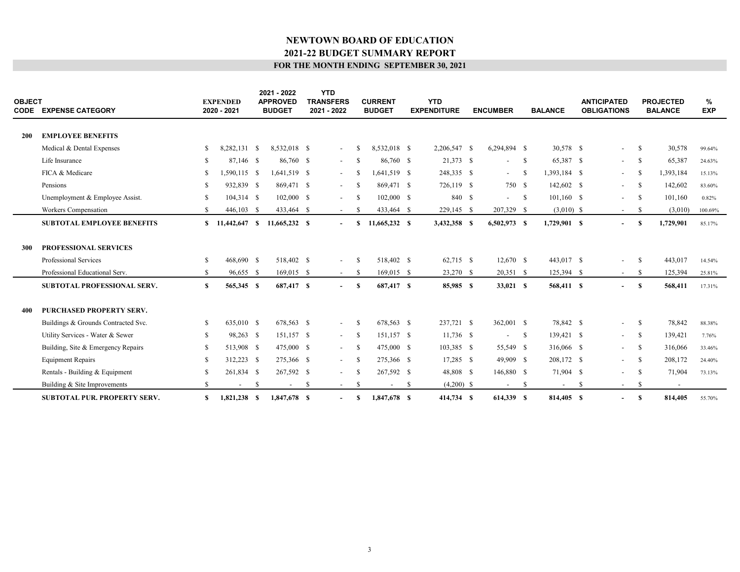| <b>OBJECT</b> | <b>CODE EXPENSE CATEGORY</b>        |    | <b>EXPENDED</b><br>2020 - 2021 |    | 2021 - 2022<br><b>APPROVED</b><br><b>BUDGET</b> |    | <b>YTD</b><br><b>TRANSFERS</b><br>2021 - 2022 |               | <b>CURRENT</b><br><b>BUDGET</b> |      | <b>YTD</b><br><b>EXPENDITURE</b> | <b>ENCUMBER</b>          |              | <b>BALANCE</b> |              | <b>ANTICIPATED</b><br><b>OBLIGATIONS</b> |              | <b>PROJECTED</b><br><b>BALANCE</b> | %<br><b>EXP</b> |
|---------------|-------------------------------------|----|--------------------------------|----|-------------------------------------------------|----|-----------------------------------------------|---------------|---------------------------------|------|----------------------------------|--------------------------|--------------|----------------|--------------|------------------------------------------|--------------|------------------------------------|-----------------|
| <b>200</b>    | <b>EMPLOYEE BENEFITS</b>            |    |                                |    |                                                 |    |                                               |               |                                 |      |                                  |                          |              |                |              |                                          |              |                                    |                 |
|               | Medical & Dental Expenses           | \$ | 8,282,131 \$                   |    | 8,532,018 \$                                    |    | $\overline{\phantom{a}}$                      | -S            | 8,532,018 \$                    |      | 2,206,547 \$                     | 6,294,894 \$             |              | 30,578 \$      |              | $\sim$                                   | -S           | 30,578                             | 99.64%          |
|               | Life Insurance                      | S  | 87,146 \$                      |    | 86,760 \$                                       |    | $\overline{a}$                                | -8            | 86,760 \$                       |      | 21,373 \$                        | $\overline{\phantom{0}}$ | $\mathbf{s}$ | 65,387 \$      |              | $\sim$                                   | -S           | 65,387                             | 24.63%          |
|               | FICA & Medicare                     | S  | 1,590,115 \$                   |    | 1,641,519 \$                                    |    | $\overline{a}$                                | -S            | 1,641,519 \$                    |      | 248,335 \$                       | $\sim$                   | - \$         | 1,393,184 \$   |              | $\sim$                                   | -S           | 1,393,184                          | 15.13%          |
|               | Pensions                            | S. | 932,839 \$                     |    | 869,471 \$                                      |    | $\overline{\phantom{a}}$                      | -S            | 869,471 \$                      |      | 726,119 \$                       | 750 \$                   |              | 142,602 \$     |              | $\sim$                                   | -S           | 142,602                            | 83.60%          |
|               | Unemployment & Employee Assist.     | S. | $104,314$ \$                   |    | $102,000$ \$                                    |    | $\overline{\phantom{0}}$                      | -S            | $102,000$ \$                    |      | 840 \$                           | $-$ \$                   |              | $101,160$ \$   |              |                                          | -S           | 101,160                            | 0.82%           |
|               | Workers Compensation                | \$ | 446,103 \$                     |    | 433,464 \$                                      |    | $\overline{\phantom{a}}$                      | -S            | 433,464 \$                      |      | 229,145 \$                       | 207,329 \$               |              | $(3,010)$ \$   |              | $\sim$                                   | -S           | (3,010)                            | 100.69%         |
|               | <b>SUBTOTAL EMPLOYEE BENEFITS</b>   | \$ | 11,442,647 \$                  |    | 11,665,232 \$                                   |    | $\overline{\phantom{a}}$                      | S             | 11,665,232 \$                   |      | 3,432,358 \$                     | 6,502,973 \$             |              | 1,729,901 \$   |              |                                          | S            | 1,729,901                          | 85.17%          |
| <b>300</b>    | <b>PROFESSIONAL SERVICES</b>        |    |                                |    |                                                 |    |                                               |               |                                 |      |                                  |                          |              |                |              |                                          |              |                                    |                 |
|               | Professional Services               | \$ | 468,690 \$                     |    | 518,402 \$                                      |    | $\overline{\phantom{a}}$                      | -S            | 518,402 \$                      |      | 62,715 \$                        | $12,670$ \$              |              | 443,017 \$     |              | $\sim$                                   | -S           | 443,017                            | 14.54%          |
|               | Professional Educational Serv.      | \$ | 96,655 \$                      |    | $169,015$ \$                                    |    | $\sim$                                        | -S            | 169,015 \$                      |      | 23,270 \$                        | 20,351 \$                |              | 125,394 \$     |              | $\sim$                                   | -S           | 125,394                            | 25.81%          |
|               | <b>SUBTOTAL PROFESSIONAL SERV.</b>  | \$ | 565,345 \$                     |    | 687,417 \$                                      |    | $\blacksquare$                                | <sup>S</sup>  | 687,417 \$                      |      | 85,985 \$                        | 33,021 S                 |              | 568,411 \$     |              | $\overline{\phantom{a}}$                 | <sup>S</sup> | 568,411                            | 17.31%          |
| 400           | PURCHASED PROPERTY SERV.            |    |                                |    |                                                 |    |                                               |               |                                 |      |                                  |                          |              |                |              |                                          |              |                                    |                 |
|               | Buildings & Grounds Contracted Svc. | \$ | 635,010 \$                     |    | 678,563 \$                                      |    | $\overline{\phantom{a}}$                      | -S            | 678.563 \$                      |      | 237,721 \$                       | 362,001 \$               |              | 78,842 \$      |              | $\sim$                                   | -S           | 78,842                             | 88.38%          |
|               | Utility Services - Water & Sewer    | S. | 98,263 \$                      |    | 151,157 \$                                      |    | $\sim$                                        | - \$          | 151,157 \$                      |      | $11,736$ \$                      | $\overline{\phantom{a}}$ | $\mathbf{s}$ | 139,421 \$     |              | $\sim$                                   | -S           | 139,421                            | 7.76%           |
|               | Building, Site & Emergency Repairs  | \$ | 513,908 \$                     |    | 475,000 \$                                      |    | $\sim$                                        | -S            | 475,000 \$                      |      | 103,385 \$                       | 55,549 \$                |              | 316,066 \$     |              | $\sim$                                   | -S           | 316,066                            | 33.46%          |
|               | <b>Equipment Repairs</b>            | S  | 312,223 \$                     |    | 275,366 \$                                      |    | $\overline{a}$                                | -S            | 275,366 \$                      |      | $17,285$ \$                      | 49,909 \$                |              | 208,172 \$     |              | $\sim$                                   | -S           | 208,172                            | 24.40%          |
|               | Rentals - Building & Equipment      | S  | 261,834 \$                     |    | 267,592 \$                                      |    | $\overline{\phantom{a}}$                      | <sup>\$</sup> | 267,592 \$                      |      | 48,808 \$                        | 146,880 \$               |              | 71,904 \$      |              | $\sim$                                   | -S           | 71,904                             | 73.13%          |
|               | Building & Site Improvements        | S. | $\sim$                         | -S | $\sim$                                          | -S | $\sim$                                        | -S            | $\sim$                          | - \$ | $(4,200)$ \$                     | $-$ \$                   |              | $\sim$         | $\mathbf{s}$ | $\sim$                                   | -S           | $\sim$                             |                 |
|               | <b>SUBTOTAL PUR. PROPERTY SERV.</b> | \$ | $1,821,238$ \$                 |    | 1,847,678 \$                                    |    |                                               | S             | 1,847,678 \$                    |      | 414,734 \$                       | 614,339 \$               |              | 814,405 \$     |              |                                          | <sup>S</sup> | 814,405                            | 55.70%          |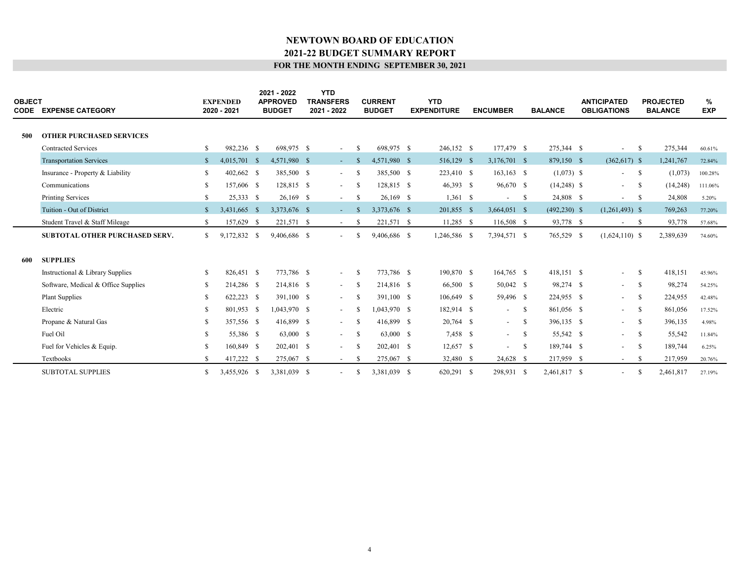| <b>OBJECT</b> | <b>CODE EXPENSE CATEGORY</b>          |               | <b>EXPENDED</b><br>2020 - 2021 | 2021 - 2022<br><b>APPROVED</b><br><b>BUDGET</b> | <b>YTD</b><br><b>TRANSFERS</b><br>2021 - 2022 |      | <b>CURRENT</b><br><b>BUDGET</b> | <b>YTD</b><br><b>EXPENDITURE</b> | <b>ENCUMBER</b>          |      | <b>BALANCE</b>  | <b>ANTICIPATED</b><br><b>OBLIGATIONS</b> |              | <b>PROJECTED</b><br><b>BALANCE</b> | %<br><b>EXP</b> |  |
|---------------|---------------------------------------|---------------|--------------------------------|-------------------------------------------------|-----------------------------------------------|------|---------------------------------|----------------------------------|--------------------------|------|-----------------|------------------------------------------|--------------|------------------------------------|-----------------|--|
| 500           | <b>OTHER PURCHASED SERVICES</b>       |               |                                |                                                 |                                               |      |                                 |                                  |                          |      |                 |                                          |              |                                    |                 |  |
|               | <b>Contracted Services</b>            | \$            | 982,236 \$                     | 698.975 \$                                      | $\sim$                                        | -S   | 698,975 \$                      | 246,152 \$                       | 177,479 \$               |      | 275,344 \$      | $\overline{\phantom{a}}$                 | $\mathbf{s}$ | 275,344                            | 60.61%          |  |
|               | <b>Transportation Services</b>        | $\mathbb{S}$  | 4,015,701 \$                   | 4,571,980 \$                                    | $\sim 100$                                    | - \$ | 4,571,980 \$                    | 516,129 \$                       | 3,176,701 \$             |      | 879,150 \$      | $(362,617)$ \$                           |              | 1,241,767                          | 72.84%          |  |
|               | Insurance - Property & Liability      | \$            | 402,662 \$                     | 385,500 \$                                      | $\sim$                                        | -S   | 385,500 \$                      | 223,410 \$                       | $163, 163$ \$            |      | $(1,073)$ \$    | $\sim$                                   | $^{\circ}$   | (1,073)                            | 100.28%         |  |
|               | Communications                        | S.            | 157,606 \$                     | 128,815 \$                                      | $\sim$                                        | -S   | 128,815 \$                      | 46,393 \$                        | 96,670 \$                |      | $(14,248)$ \$   | $\sim 10^{-1}$                           | -S           | (14,248)                           | 111.06%         |  |
|               | <b>Printing Services</b>              | S.            | 25,333 \$                      | $26,169$ \$                                     | $\sim$                                        | -S   | $26,169$ \$                     | $1,361$ \$                       | $\overline{\phantom{a}}$ | - \$ | 24,808 \$       | $\sim$                                   | - S          | 24,808                             | 5.20%           |  |
|               | Tuition - Out of District             | <sup>S</sup>  | 3,431,665 \$                   | 3,373,676 \$                                    | $\sim$                                        | -S   | 3,373,676 \$                    | 201,855 \$                       | 3,664,051 \$             |      | $(492, 230)$ \$ | $(1,261,493)$ \$                         |              | 769,263                            | 77.20%          |  |
|               | Student Travel & Staff Mileage        | S.            | 157,629 \$                     | 221,571 \$                                      | $\sim$                                        | -S   | 221,571 \$                      | $11,285$ \$                      | 116,508 \$               |      | 93,778 \$       | $^{\circ}$<br>$\overline{\phantom{a}}$   |              | 93,778                             | 57.68%          |  |
|               | <b>SUBTOTAL OTHER PURCHASED SERV.</b> | S.            | 9,172,832 \$                   | 9,406,686 \$                                    | $\overline{\phantom{a}}$                      | -8   | 9,406,686 \$                    | 1,246,586 \$                     | 7,394,571 \$             |      | 765,529 \$      | $(1,624,110)$ \$                         |              | 2,389,639                          | 74.60%          |  |
|               |                                       |               |                                |                                                 |                                               |      |                                 |                                  |                          |      |                 |                                          |              |                                    |                 |  |
| 600           | <b>SUPPLIES</b>                       |               |                                |                                                 |                                               |      |                                 |                                  |                          |      |                 |                                          |              |                                    |                 |  |
|               | Instructional & Library Supplies      | \$            | 826,451 \$                     | 773,786 \$                                      | $\overline{\phantom{a}}$                      | -S   | 773,786 \$                      | 190,870 \$                       | 164,765 \$               |      | 418,151 \$      | $\sim$                                   | -S           | 418,151                            | 45.96%          |  |
|               | Software, Medical & Office Supplies   | S.            | 214,286 \$                     | 214,816 \$                                      | $\sim$                                        | -S   | 214,816 \$                      | 66,500 \$                        | 50,042 \$                |      | 98,274 \$       | $-$ \$                                   |              | 98,274                             | 54.25%          |  |
|               | <b>Plant Supplies</b>                 | -S            | 622,223 \$                     | 391,100 \$                                      | $\sim$                                        | -S   | 391,100 \$                      | 106,649 \$                       | 59,496 \$                |      | 224,955 \$      | $\sim$ 100 $\mu$                         | -S           | 224,955                            | 42.48%          |  |
|               | Electric                              | S.            | 801,953 \$                     | $1,043,970$ \$                                  | $\sim$                                        | -8   | 1.043.970 \$                    | 182,914 \$                       | $\sim$                   | - S  | 861,056 \$      | $\sim 100$                               | -S           | 861,056                            | 17.52%          |  |
|               | Propane & Natural Gas                 | \$            | 357,556 \$                     | 416,899 \$                                      | $\sim$                                        | -S   | 416,899 \$                      | 20,764 \$                        | $-$ \$                   |      | 396,135 \$      | $\sim$ $-$                               | $^{\circ}$   | 396,135                            | 4.98%           |  |
|               | Fuel Oil                              | <sup>\$</sup> | 55,386 \$                      | 63,000 \$                                       | $\sim$                                        | -S   | 63,000 \$                       | 7,458 \$                         | $-$ \$                   |      | 55,542 \$       | $\sim$                                   | - S          | 55,542                             | 11.84%          |  |
|               | Fuel for Vehicles & Equip.            | S             | 160,849 \$                     | 202,401 \$                                      | $\overline{\phantom{a}}$                      | -S   | 202,401 \$                      | $12,657$ \$                      | $\sim$                   | - S  | 189,744 \$      | $\sim$                                   | $\mathbf{s}$ | 189,744                            | 6.25%           |  |
|               | Textbooks                             | <sup>\$</sup> | 417,222 \$                     | 275,067 \$                                      | $\sim$                                        | -S   | 275,067 \$                      | 32,480 \$                        | 24,628 \$                |      | 217,959 \$      | $\sim$                                   | -S           | 217,959                            | 20.76%          |  |
|               | <b>SUBTOTAL SUPPLIES</b>              | S.            | 3.455,926 \$                   | 3.381.039 \$                                    | $\overline{\phantom{a}}$                      | -8   | 3.381.039 \$                    | 620.291 \$                       | 298.931 \$               |      | 2.461.817 \$    | $\overline{\phantom{0}}$                 | S            | 2.461.817                          | 27.19%          |  |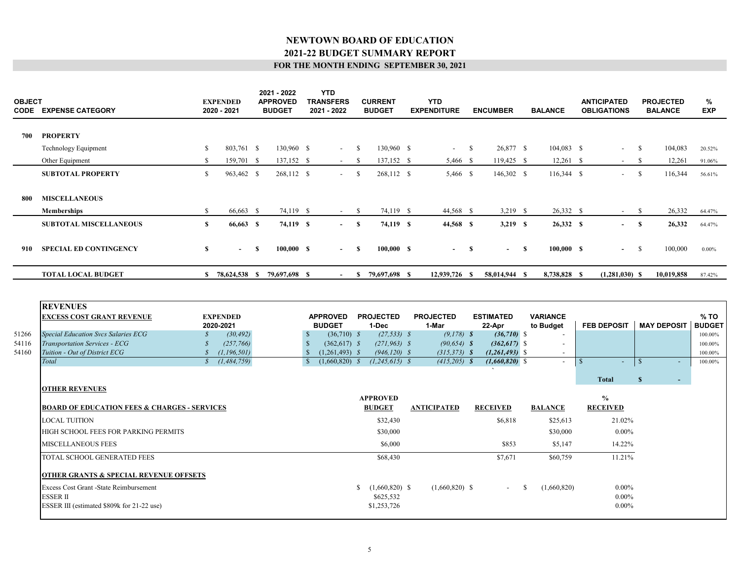| <b>OBJECT</b><br>CODE | <b>EXPENSE CATEGORY</b>       |     | <b>EXPENDED</b><br>2020 - 2021 |     | 2021 - 2022<br><b>APPROVED</b><br><b>BUDGET</b> | <b>YTD</b><br><b>TRANSFERS</b><br>2021 - 2022 |    | <b>CURRENT</b><br><b>BUDGET</b> | <b>YTD</b><br><b>EXPENDITURE</b> |               | <b>ENCUMBER</b> | <b>BALANCE</b> | <b>ANTICIPATED</b><br><b>OBLIGATIONS</b> |              | <b>PROJECTED</b><br><b>BALANCE</b> | %<br><b>EXP</b> |
|-----------------------|-------------------------------|-----|--------------------------------|-----|-------------------------------------------------|-----------------------------------------------|----|---------------------------------|----------------------------------|---------------|-----------------|----------------|------------------------------------------|--------------|------------------------------------|-----------------|
| 700                   | <b>PROPERTY</b>               |     |                                |     |                                                 |                                               |    |                                 |                                  |               |                 |                |                                          |              |                                    |                 |
|                       | Technology Equipment          | \$  | 803,761 \$                     |     | 130,960 \$                                      | $\sim$                                        | -S | 130,960 \$                      | $\sim$ $-$                       | <sup>\$</sup> | 26,877 \$       | $104,083$ \$   | $\sim$                                   | -S           | 104,083                            | 20.52%          |
|                       | Other Equipment               | S.  | 159,701 \$                     |     | $137,152$ \$                                    | $\sim$                                        | -S | 137,152 \$                      | 5,466 \$                         |               | $119,425$ \$    | $12,261$ \$    | $\sim$                                   | -S           | 12,261                             | 91.06%          |
|                       | <b>SUBTOTAL PROPERTY</b>      | \$  | 963,462 \$                     |     | 268,112 \$                                      | $\overline{\phantom{a}}$                      | -S | 268,112 \$                      | 5,466 \$                         |               | $146,302$ \$    | $116,344$ \$   | $\overline{\phantom{a}}$                 | -S           | 116,344                            | 56.61%          |
|                       |                               |     |                                |     |                                                 |                                               |    |                                 |                                  |               |                 |                |                                          |              |                                    |                 |
| 800                   | <b>MISCELLANEOUS</b>          |     |                                |     |                                                 |                                               |    |                                 |                                  |               |                 |                |                                          |              |                                    |                 |
|                       | <b>Memberships</b>            | \$. | 66,663 \$                      |     | 74,119 \$                                       | $\sim$                                        | -S | 74,119 \$                       | 44,568 \$                        |               | $3,219$ \$      | 26,332 \$      | $\sim$                                   | -S           | 26,332                             | 64.47%          |
|                       | <b>SUBTOTAL MISCELLANEOUS</b> | \$  | 66,663 \$                      |     | 74,119 \$                                       | $\sim$                                        | -S | 74,119 \$                       | 44,568 \$                        |               | $3,219$ \$      | 26,332 \$      | $\sim$                                   | <sup>S</sup> | 26,332                             | 64.47%          |
|                       |                               |     |                                |     |                                                 |                                               |    |                                 |                                  |               |                 |                |                                          |              |                                    |                 |
| 910                   | <b>SPECIAL ED CONTINGENCY</b> | \$  | $\sim$                         | -SS | 100,000 S                                       | $\sim$                                        | -S | 100,000 S                       | $-$ \$                           |               | $-$ \$          | 100,000 S      | $\sim 100$                               | -S           | 100,000                            | $0.00\%$        |
|                       |                               |     |                                |     |                                                 |                                               |    |                                 |                                  |               |                 |                |                                          |              |                                    |                 |
|                       | <b>TOTAL LOCAL BUDGET</b>     | S.  | 78,624,538 \$                  |     | 79,697,698 \$                                   | $\overline{\phantom{a}}$                      | S. | 79,697,698 \$                   | 12,939,726 \$                    |               | 58,014,944 \$   | 8,738,828 \$   | $(1,281,030)$ \$                         |              | 10,019,858                         | 87.42%          |
|                       |                               |     |                                |     |                                                 |                                               |    |                                 |                                  |               |                 |                |                                          |              |                                    |                 |

|       | <b>REVENUES</b>                                         |                 |                         |                        |                    |                  |                          |                    |                                |               |
|-------|---------------------------------------------------------|-----------------|-------------------------|------------------------|--------------------|------------------|--------------------------|--------------------|--------------------------------|---------------|
|       | <b>EXCESS COST GRANT REVENUE</b>                        | <b>EXPENDED</b> | <b>APPROVED</b>         | <b>PROJECTED</b>       | <b>PROJECTED</b>   | <b>ESTIMATED</b> | <b>VARIANCE</b>          |                    |                                | % TO          |
|       |                                                         | 2020-2021       | <b>BUDGET</b>           | 1-Dec                  | 1-Mar              | 22-Apr           | to Budget                | <b>FEB DEPOSIT</b> | <b>MAY DEPOSIT</b>             | <b>BUDGET</b> |
| 51266 | <b>Special Education Svcs Salaries ECG</b>              | (30, 492)       | $(36,710)$ \$           | $(27, 533)$ \$         | $(9,178)$ \$       | $(36,710)$ \$    |                          |                    |                                | 100.00%       |
| 54116 | Transportation Services - ECG                           | (257,766)       | $(362, 617)$ \$         | $(271, 963)$ \$        | $(90, 654)$ \$     | $(362, 617)$ \$  | $\overline{\phantom{a}}$ |                    |                                | 100.00%       |
| 54160 | Tuition - Out of District ECG                           | (1, 196, 501)   | $(1,261,493)$ \$        | $(946, 120)$ \$        | $(315, 373)$ \$    | $(1,261,493)$ \$ | $\overline{\phantom{a}}$ |                    |                                | 100.00%       |
|       | Total                                                   | (1, 484, 759)   | $(1,660,820)$ \$<br>- S | $(1, 245, 615)$ \$     | $(415,205)$ \$     | $(1,660,820)$ \$ | $\overline{\phantom{a}}$ | $\sim$             | - \$<br>$\sim$                 | 100.00%       |
|       |                                                         |                 |                         |                        |                    |                  |                          |                    |                                |               |
|       |                                                         |                 |                         |                        |                    |                  |                          | <b>Total</b>       | <sup>S</sup><br>$\sim$ 10 $\,$ |               |
|       | <b>OTHER REVENUES</b>                                   |                 |                         |                        |                    |                  |                          |                    |                                |               |
|       |                                                         |                 |                         | <b>APPROVED</b>        |                    |                  |                          | $\frac{0}{0}$      |                                |               |
|       | <b>BOARD OF EDUCATION FEES &amp; CHARGES - SERVICES</b> |                 |                         | <b>BUDGET</b>          | <b>ANTICIPATED</b> | <b>RECEIVED</b>  | <b>BALANCE</b>           | <b>RECEIVED</b>    |                                |               |
|       | <b>LOCAL TUITION</b>                                    |                 |                         | \$32,430               |                    | \$6,818          | \$25,613                 | 21.02%             |                                |               |
|       | HIGH SCHOOL FEES FOR PARKING PERMITS                    |                 |                         | \$30,000               |                    |                  | \$30,000                 | $0.00\%$           |                                |               |
|       | <b>MISCELLANEOUS FEES</b>                               |                 |                         | \$6,000                |                    | \$853            | \$5,147                  | 14.22%             |                                |               |
|       | TOTAL SCHOOL GENERATED FEES                             |                 |                         | \$68,430               |                    | \$7,671          | \$60,759                 | 11.21%             |                                |               |
|       | <b>OTHER GRANTS &amp; SPECIAL REVENUE OFFSETS</b>       |                 |                         |                        |                    |                  |                          |                    |                                |               |
|       | Excess Cost Grant -State Reimbursement                  |                 |                         | $(1,660,820)$ \$<br>S. | $(1,660,820)$ \$   | $\sim$           | (1,660,820)<br>-S        | $0.00\%$           |                                |               |
|       | <b>ESSERII</b>                                          |                 |                         | \$625,532              |                    |                  |                          | $0.00\%$           |                                |               |
|       | ESSER III (estimated \$809k for 21-22 use)              |                 |                         | \$1,253,726            |                    |                  |                          | $0.00\%$           |                                |               |
|       |                                                         |                 |                         |                        |                    |                  |                          |                    |                                |               |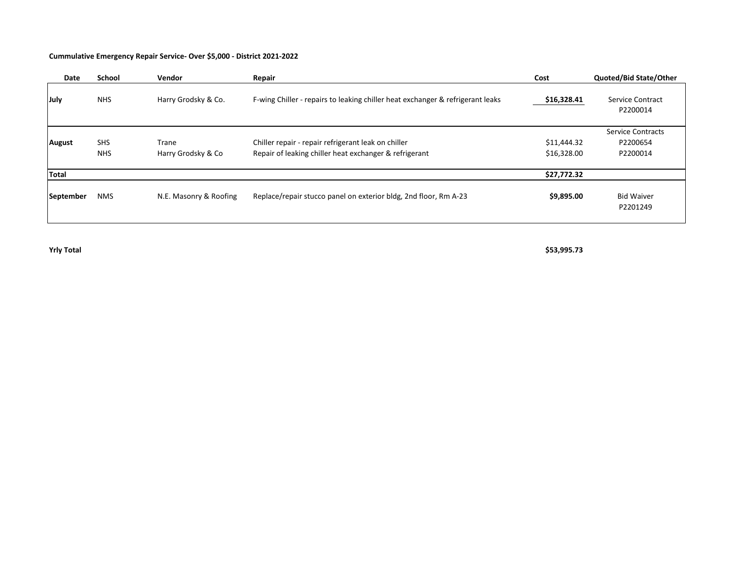#### **Cummulative Emergency Repair Service- Over \$5,000 - District 2021-2022**

| Date          | School                   | Vendor                      | Repair                                                                                                        | Cost                       | Quoted/Bid State/Other                           |
|---------------|--------------------------|-----------------------------|---------------------------------------------------------------------------------------------------------------|----------------------------|--------------------------------------------------|
| July          | <b>NHS</b>               | Harry Grodsky & Co.         | F-wing Chiller - repairs to leaking chiller heat exchanger & refrigerant leaks                                | \$16,328.41                | <b>Service Contract</b><br>P2200014              |
| <b>August</b> | <b>SHS</b><br><b>NHS</b> | Trane<br>Harry Grodsky & Co | Chiller repair - repair refrigerant leak on chiller<br>Repair of leaking chiller heat exchanger & refrigerant | \$11,444.32<br>\$16,328.00 | <b>Service Contracts</b><br>P2200654<br>P2200014 |
| Total         |                          |                             |                                                                                                               | \$27,772.32                |                                                  |
| September     | <b>NMS</b>               | N.E. Masonry & Roofing      | Replace/repair stucco panel on exterior bldg, 2nd floor, Rm A-23                                              | \$9,895.00                 | <b>Bid Waiver</b><br>P2201249                    |

**Yrly Total \$53,995.73**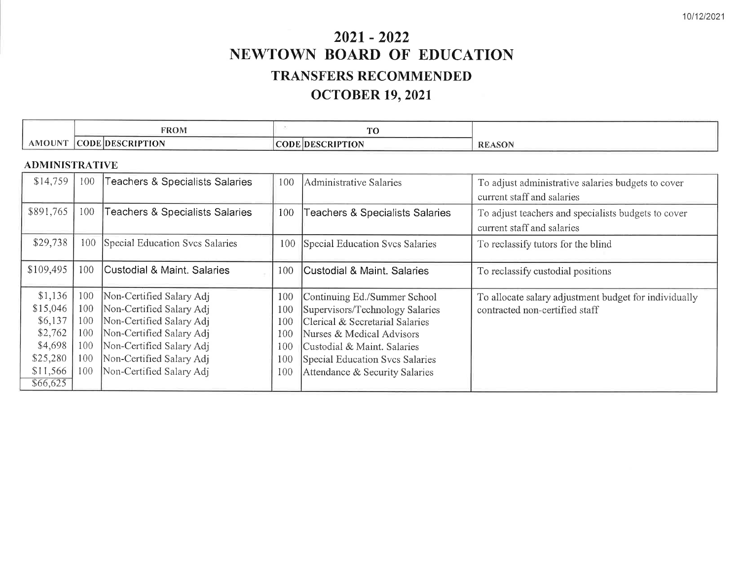# $2021 - 2022$ NEWTOWN BOARD OF EDUCATION **TRANSFERS RECOMMENDED OCTOBER 19, 2021**

|                    | <b>FROM</b>   | and the state of the state of the state<br><b>TRO</b> |            |
|--------------------|---------------|-------------------------------------------------------|------------|
| <b>OUNT</b><br>AMC | -RIPTION<br>п | ∠RIP"<br>AON                                          | RE<br>ASON |

# **ADMINISTRATIVE**

| \$14,759  | 100 | Teachers & Specialists Salaries | 100 | Administrative Salaries                    | To adjust administrative salaries budgets to cover    |
|-----------|-----|---------------------------------|-----|--------------------------------------------|-------------------------------------------------------|
|           |     |                                 |     |                                            | current staff and salaries                            |
| \$891,765 | 100 | Teachers & Specialists Salaries | 100 | <b>Teachers &amp; Specialists Salaries</b> | To adjust teachers and specialists budgets to cover   |
|           |     |                                 |     |                                            | current staff and salaries                            |
| \$29,738  | 100 | Special Education Svcs Salaries | 100 | Special Education Svcs Salaries            | To reclassify tutors for the blind                    |
|           |     |                                 |     |                                            |                                                       |
| \$109,495 | 100 | Custodial & Maint, Salaries     | 100 | Custodial & Maint, Salaries                | To reclassify custodial positions                     |
|           |     |                                 |     |                                            |                                                       |
| \$1,136   | 100 | Non-Certified Salary Adj        | 100 | Continuing Ed./Summer School               | To allocate salary adjustment budget for individually |
| \$15,046  | 100 | Non-Certified Salary Adj        | 100 | Supervisors/Technology Salaries            | contracted non-certified staff                        |
| \$6,137   | 100 | Non-Certified Salary Adj        | 100 | Clerical & Secretarial Salaries            |                                                       |
| \$2,762   | 100 | Non-Certified Salary Adj        | 100 | Nurses & Medical Advisors                  |                                                       |
| \$4,698   | 100 | Non-Certified Salary Adj        | 100 | Custodial & Maint, Salaries                |                                                       |
| \$25,280  | 100 | Non-Certified Salary Adj        | 100 | Special Education Svcs Salaries            |                                                       |
| \$11,566  | 100 | Non-Certified Salary Adj        | 100 | Attendance & Security Salaries             |                                                       |
| \$66,625  |     |                                 |     |                                            |                                                       |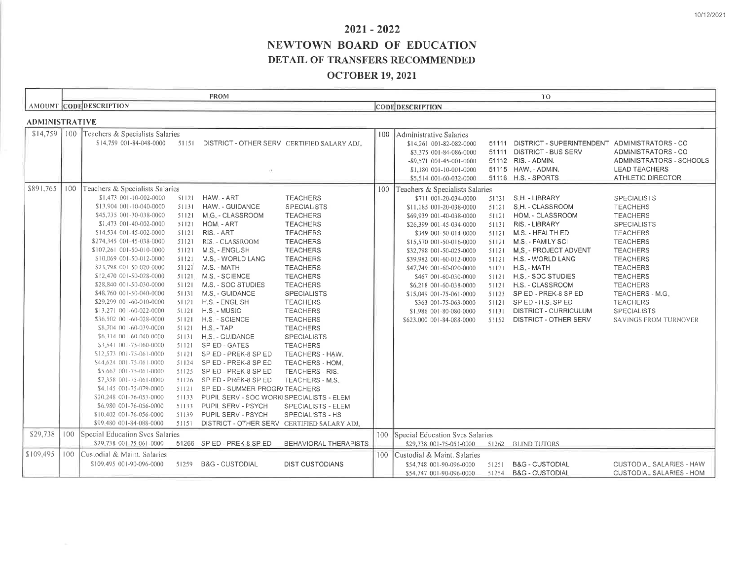# $2021 - 2022$ NEWTOWN BOARD OF EDUCATION DETAIL OF TRANSFERS RECOMMENDED

# **OCTOBER 19, 2021**

|                       |     |                                                             |                | <b>FROM</b>                                                                |                              |     |                                                     |       | T <sub>0</sub>                                                                   |                                 |
|-----------------------|-----|-------------------------------------------------------------|----------------|----------------------------------------------------------------------------|------------------------------|-----|-----------------------------------------------------|-------|----------------------------------------------------------------------------------|---------------------------------|
|                       |     | AMOUNT CODE DESCRIPTION                                     |                |                                                                            |                              |     | <b>CODE DESCRIPTION</b>                             |       |                                                                                  |                                 |
| <b>ADMINISTRATIVE</b> |     |                                                             |                |                                                                            |                              |     |                                                     |       |                                                                                  |                                 |
|                       |     |                                                             |                |                                                                            |                              |     |                                                     |       |                                                                                  |                                 |
| \$14,759              | 100 | Teachers & Specialists Salaries<br>\$14,759 001-84-048-0000 |                | 51151 DISTRICT - OTHER SERV CERTIFIED SALARY ADJ.                          |                              | 100 | Administrative Salaries                             |       |                                                                                  |                                 |
|                       |     |                                                             |                |                                                                            |                              |     | \$14,261 001-82-082-0000<br>\$3,375 001-84-086-0000 |       | 51111 DISTRICT - SUPERINTENDENT ADMINISTRATORS - CO<br>51111 DISTRICT - BUS SERV | ADMINISTRATORS - CO             |
|                       |     |                                                             |                |                                                                            |                              |     | -\$9,571 001-45-001-0000                            |       | 51112 RIS. - ADMIN.                                                              | ADMINISTRATORS - SCHOOLS        |
|                       |     |                                                             |                |                                                                            |                              |     | \$1,180 001-10-001-0000                             |       | 51115 HAW. - ADMIN.                                                              | <b>LEAD TEACHERS</b>            |
|                       |     |                                                             |                |                                                                            |                              |     | \$5,514 001-60-032-0000                             |       | 51116 H.S. - SPORTS                                                              | <b>ATHLETIC DIRECTOR</b>        |
| \$891,765             | 100 | Teachers & Specialists Salaries                             |                |                                                                            |                              | 100 | Teachers & Specialists Salaries                     |       |                                                                                  |                                 |
|                       |     | \$1,473 001-10-002-0000                                     |                | 51121 HAW. - ART                                                           | <b>TEACHERS</b>              |     | \$711 001-20-034-0000                               | 51131 | S.H. - LIBRARY                                                                   | <b>SPECIALISTS</b>              |
|                       |     | \$13,904 001-10-040-0000                                    |                | 51131 HAW. - GUIDANCE                                                      | <b>SPECIALISTS</b>           |     | \$11,185 001-20-038-0000                            | 51121 | S.H. - CLASSROOM                                                                 | <b>TEACHERS</b>                 |
|                       |     | \$45,735 001-30-038-0000                                    |                | 51121 M.G. - CLASSROOM                                                     | <b>TEACHERS</b>              |     | \$69,939 001-40-038-0000                            | 51121 | HOM. - CLASSROOM                                                                 | <b>TEACHERS</b>                 |
|                       |     | \$1,473 001-40-002-0000                                     | 51121          | HOM. - ART                                                                 | <b>TEACHERS</b>              |     | \$26,399 001-45-034-0000                            | 51131 | RIS. - LIBRARY                                                                   | <b>SPECIALISTS</b>              |
|                       |     | \$14,534 001-45-002-0000                                    |                | 51121 RIS. - ART                                                           | <b>TEACHERS</b>              |     | \$349 001-50-014-0000                               | 51121 | M.S. - HEALTH ED                                                                 | <b>TEACHERS</b>                 |
|                       |     | \$274,345 001-45-038-0000                                   |                | 51121 RIS - CLASSROOM                                                      | <b>TEACHERS</b>              |     | \$15,570 001-50-016-0000                            | 51121 | M.S. - FAMILY SCI                                                                | <b>TEACHERS</b>                 |
|                       |     | \$107,261 001-50-010-0000                                   |                | 51121 M.S. - ENGLISH                                                       | <b>TEACHERS</b>              |     | \$32,798 001-50-025-0000                            | 51121 | M.S. - PROJECT ADVENT                                                            | <b>TEACHERS</b>                 |
|                       |     | \$10,069 001-50-012-0000                                    |                | 51121 M.S. - WORLD LANG                                                    | <b>TEACHERS</b>              |     | \$39,982 001-60-012-0000                            | 51121 | H.S. - WORLD LANG                                                                | <b>TEACHERS</b>                 |
|                       |     | \$23,798 001-50-020-0000                                    |                | 51121 M.S. - MATH                                                          | <b>TEACHERS</b>              |     | \$47,749 001-60-020-0000                            |       | 51121 H.S. - MATH                                                                | <b>TEACHERS</b>                 |
|                       |     | \$12,470 001-50-028-0000                                    |                | 51121 M.S. - SCIENCE                                                       | <b>TEACHERS</b>              |     | \$467 001-60-030-0000                               | 51121 | H.S. - SOC STUDIES                                                               | <b>TEACHERS</b>                 |
|                       |     | \$28,840 001-50-030-0000                                    | 51121          | M.S. - SOC STUDIES                                                         | <b>TEACHERS</b>              |     | \$6,218 001-60-038-0000                             | 51121 | H.S. - CLASSROOM                                                                 | <b>TEACHERS</b>                 |
|                       |     | \$48,760 001-50-040-0000                                    |                | 51131 M.S. - GUIDANCE                                                      | <b>SPECIALISTS</b>           |     | \$15,049 001-75-061-0000                            | 51123 | SP ED - PREK-8 SP ED                                                             | TEACHERS - M.G.                 |
|                       |     | \$29,299 001-60-010-0000                                    |                | 51121 H.S. - ENGLISH                                                       | <b>TEACHERS</b>              |     | \$363 001-75-063-0000                               | 51121 | SPED-H.S. SPED                                                                   | <b>TEACHERS</b>                 |
|                       |     | \$13,271 001-60-022-0000                                    |                | 51121 H.S. - MUSIC                                                         | <b>TEACHERS</b>              |     | \$1,986 001-80-080-0000                             | 51131 | DISTRICT - CURRICULUM                                                            | <b>SPECIALISTS</b>              |
|                       |     | \$36,502 001-60-028-0000                                    |                | 51121 H.S. - SCIENCE                                                       | <b>TEACHERS</b>              |     | \$623,000 001-84-088-0000                           | 51152 | DISTRICT - OTHER SERV                                                            | SAVINGS FROM TURNOVER           |
|                       |     | \$8,704 001-60-039-0000                                     |                | 51121 H.S. - TAP                                                           | <b>TEACHERS</b>              |     |                                                     |       |                                                                                  |                                 |
|                       |     | \$6,314 001-60-040-0000                                     |                | 51131 H.S. - GUIDANCE                                                      | <b>SPECIALISTS</b>           |     |                                                     |       |                                                                                  |                                 |
|                       |     | \$3,541 001-75-060-0000                                     |                | 51121 SPED-GATES                                                           | <b>TEACHERS</b>              |     |                                                     |       |                                                                                  |                                 |
|                       |     | \$12.573 001-75-061-0000                                    |                | 51121 SPED-PREK-8 SPED                                                     | TEACHERS - HAW.              |     |                                                     |       |                                                                                  |                                 |
|                       |     | \$44,624,001-75-061-0000                                    |                | 51124 SPED-PREK-8 SPED                                                     | TEACHERS - HOM.              |     |                                                     |       |                                                                                  |                                 |
|                       |     | \$5.662 001-75-061-0000                                     |                | 51125 SP ED - PREK-8 SP ED                                                 | TEACHERS - RIS.              |     |                                                     |       |                                                                                  |                                 |
|                       |     | \$7,358,001-75-061-0000<br>\$4,145 001-75-079-0000          | 51126<br>51121 | SP ED - PREK-8 SP ED                                                       | TEACHERS - M.S.              |     |                                                     |       |                                                                                  |                                 |
|                       |     | \$20,248 001-76-053-0000                                    | 51133          | SP ED - SUMMER PROGR/ TEACHERS<br>PUPIL SERV - SOC WORKISPECIALISTS - ELEM |                              |     |                                                     |       |                                                                                  |                                 |
|                       |     | \$6,980 001-76-056-0000                                     | 51133          | PUPIL SERV - PSYCH                                                         | SPECIALISTS - ELEM           |     |                                                     |       |                                                                                  |                                 |
|                       |     | \$10,402 001-76-056-0000                                    |                | 51139 PUPIL SERV - PSYCH                                                   | SPECIALISTS - HS             |     |                                                     |       |                                                                                  |                                 |
|                       |     | \$99,480 001-84-088-0000                                    | 51151          | DISTRICT - OTHER SERV CERTIFIED SALARY ADJ.                                |                              |     |                                                     |       |                                                                                  |                                 |
|                       |     |                                                             |                |                                                                            |                              |     |                                                     |       |                                                                                  |                                 |
| \$29,738              |     | 100 Special Education Svcs Salaries                         |                |                                                                            |                              |     | 100 Special Education Svcs Salaries                 |       |                                                                                  |                                 |
|                       |     | \$29,738 001-75-061-0000                                    |                | 51266 SP ED - PREK-8 SP ED                                                 | <b>BEHAVIORAL THERAPISTS</b> |     | \$29,738 001-75-051-0000                            |       | 51262 BLIND TUTORS                                                               |                                 |
| \$109,495             | 100 | Custodial & Maint, Salaries                                 |                |                                                                            |                              |     | 100 Custodial & Maint, Salaries                     |       |                                                                                  |                                 |
|                       |     | \$109,495 001-90-096-0000                                   |                | 51259 B&G - CUSTODIAL                                                      | <b>DIST CUSTODIANS</b>       |     | \$54,748 001-90-096-0000                            | 51251 | <b>B&amp;G - CUSTODIAL</b>                                                       | CUSTODIAL SALARIES - HAW        |
|                       |     |                                                             |                |                                                                            |                              |     | \$54,747 001-90-096-0000                            |       | 51254 B&G - CUSTODIAL                                                            | <b>CUSTODIAL SALARIES - HOM</b> |